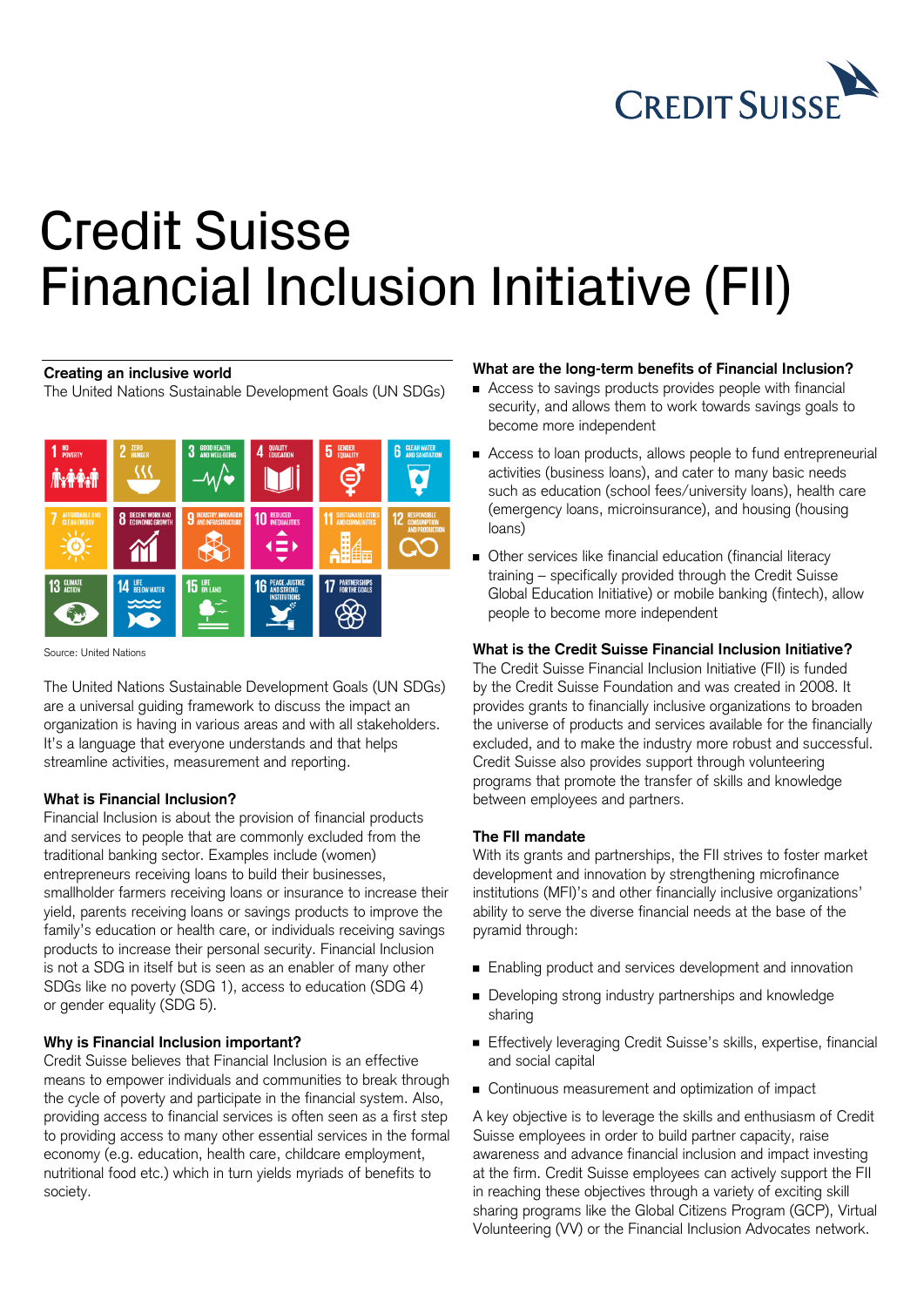

# Credit Suisse Financial Inclusion Initiative (FII)

### **Creating an inclusive world**

The United Nations Sustainable Development Goals (UN SDGs)



Source: United Nations

The United Nations Sustainable Development Goals (UN SDGs) are a universal guiding framework to discuss the impact an organization is having in various areas and with all stakeholders. It's a language that everyone understands and that helps streamline activities, measurement and reporting.

# **What is Financial Inclusion?**

Financial Inclusion is about the provision of financial products and services to people that are commonly excluded from the traditional banking sector. Examples include (women) entrepreneurs receiving loans to build their businesses, smallholder farmers receiving loans or insurance to increase their yield, parents receiving loans or savings products to improve the family's education or health care, or individuals receiving savings products to increase their personal security. Financial Inclusion is not a SDG in itself but is seen as an enabler of many other SDGs like no poverty (SDG 1), access to education (SDG 4) or gender equality (SDG 5).

# **Why is Financial Inclusion important?**

Credit Suisse believes that Financial Inclusion is an effective means to empower individuals and communities to break through the cycle of poverty and participate in the financial system. Also, providing access to financial services is often seen as a first step to providing access to many other essential services in the formal economy (e.g. education, health care, childcare employment, nutritional food etc.) which in turn yields myriads of benefits to society.

# **What are the long-term benefits of Financial Inclusion?**

- Access to savings products provides people with financial security, and allows them to work towards savings goals to become more independent
- Access to loan products, allows people to fund entrepreneurial activities (business loans), and cater to many basic needs such as education (school fees/university loans), health care (emergency loans, microinsurance), and housing (housing loans)
- Other services like financial education (financial literacy training – specifically provided through the Credit Suisse Global Education Initiative) or mobile banking (fintech), allow people to become more independent

# **What is the Credit Suisse Financial Inclusion Initiative?**

The Credit Suisse Financial Inclusion Initiative (FII) is funded by the Credit Suisse Foundation and was created in 2008. It provides grants to financially inclusive organizations to broaden the universe of products and services available for the financially excluded, and to make the industry more robust and successful. Credit Suisse also provides support through volunteering programs that promote the transfer of skills and knowledge between employees and partners.

#### **The FII mandate**

With its grants and partnerships, the FII strives to foster market development and innovation by strengthening microfinance institutions (MFI)'s and other financially inclusive organizations' ability to serve the diverse financial needs at the base of the pyramid through:

- Enabling product and services development and innovation
- Developing strong industry partnerships and knowledge sharing
- Effectively leveraging Credit Suisse's skills, expertise, financial and social capital
- Continuous measurement and optimization of impact

A key objective is to leverage the skills and enthusiasm of Credit Suisse employees in order to build partner capacity, raise awareness and advance financial inclusion and impact investing at the firm. Credit Suisse employees can actively support the FII in reaching these objectives through a variety of exciting skill sharing programs like the Global Citizens Program (GCP), Virtual Volunteering (VV) or the Financial Inclusion Advocates network.